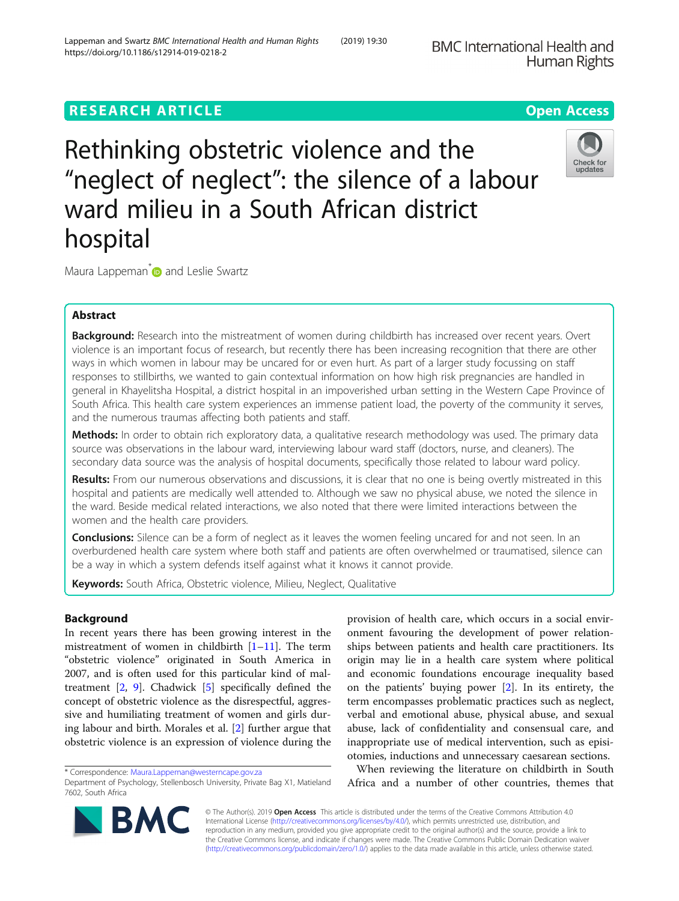# **RESEARCH ARTICLE Example 2014 12:30 The Contract of Contract ACCESS**

Rethinking obstetric violence and the "neglect of neglect": the silence of a labour ward milieu in a South African district hospital

Maura Lappeman<sup>[\\*](http://orcid.org/0000-0003-0095-0586)</sup> and Leslie Swartz

# Abstract

Background: Research into the mistreatment of women during childbirth has increased over recent years. Overt violence is an important focus of research, but recently there has been increasing recognition that there are other ways in which women in labour may be uncared for or even hurt. As part of a larger study focussing on staff responses to stillbirths, we wanted to gain contextual information on how high risk pregnancies are handled in general in Khayelitsha Hospital, a district hospital in an impoverished urban setting in the Western Cape Province of South Africa. This health care system experiences an immense patient load, the poverty of the community it serves, and the numerous traumas affecting both patients and staff.

Methods: In order to obtain rich exploratory data, a qualitative research methodology was used. The primary data source was observations in the labour ward, interviewing labour ward staff (doctors, nurse, and cleaners). The secondary data source was the analysis of hospital documents, specifically those related to labour ward policy.

Results: From our numerous observations and discussions, it is clear that no one is being overtly mistreated in this hospital and patients are medically well attended to. Although we saw no physical abuse, we noted the silence in the ward. Beside medical related interactions, we also noted that there were limited interactions between the women and the health care providers.

**Conclusions:** Silence can be a form of neglect as it leaves the women feeling uncared for and not seen. In an overburdened health care system where both staff and patients are often overwhelmed or traumatised, silence can be a way in which a system defends itself against what it knows it cannot provide.

Keywords: South Africa, Obstetric violence, Milieu, Neglect, Qualitative

# Background

In recent years there has been growing interest in the mistreatment of women in childbirth [[1](#page-9-0)–[11](#page-9-0)]. The term "obstetric violence" originated in South America in 2007, and is often used for this particular kind of maltreatment  $[2, 9]$  $[2, 9]$  $[2, 9]$  $[2, 9]$ . Chadwick  $[5]$  $[5]$  $[5]$  specifically defined the concept of obstetric violence as the disrespectful, aggressive and humiliating treatment of women and girls during labour and birth. Morales et al. [\[2](#page-9-0)] further argue that obstetric violence is an expression of violence during the

\* Correspondence: [Maura.Lappeman@westerncape.gov.za](mailto:Maura.Lappeman@westerncape.gov.za)

**BMC** 

provision of health care, which occurs in a social environment favouring the development of power relationships between patients and health care practitioners. Its origin may lie in a health care system where political and economic foundations encourage inequality based on the patients' buying power [[2](#page-9-0)]. In its entirety, the term encompasses problematic practices such as neglect, verbal and emotional abuse, physical abuse, and sexual abuse, lack of confidentiality and consensual care, and inappropriate use of medical intervention, such as episiotomies, inductions and unnecessary caesarean sections.

When reviewing the literature on childbirth in South Africa and a number of other countries, themes that

© The Author(s). 2019 **Open Access** This article is distributed under the terms of the Creative Commons Attribution 4.0 International License [\(http://creativecommons.org/licenses/by/4.0/](http://creativecommons.org/licenses/by/4.0/)), which permits unrestricted use, distribution, and reproduction in any medium, provided you give appropriate credit to the original author(s) and the source, provide a link to the Creative Commons license, and indicate if changes were made. The Creative Commons Public Domain Dedication waiver [\(http://creativecommons.org/publicdomain/zero/1.0/](http://creativecommons.org/publicdomain/zero/1.0/)) applies to the data made available in this article, unless otherwise stated.





Department of Psychology, Stellenbosch University, Private Bag X1, Matieland 7602, South Africa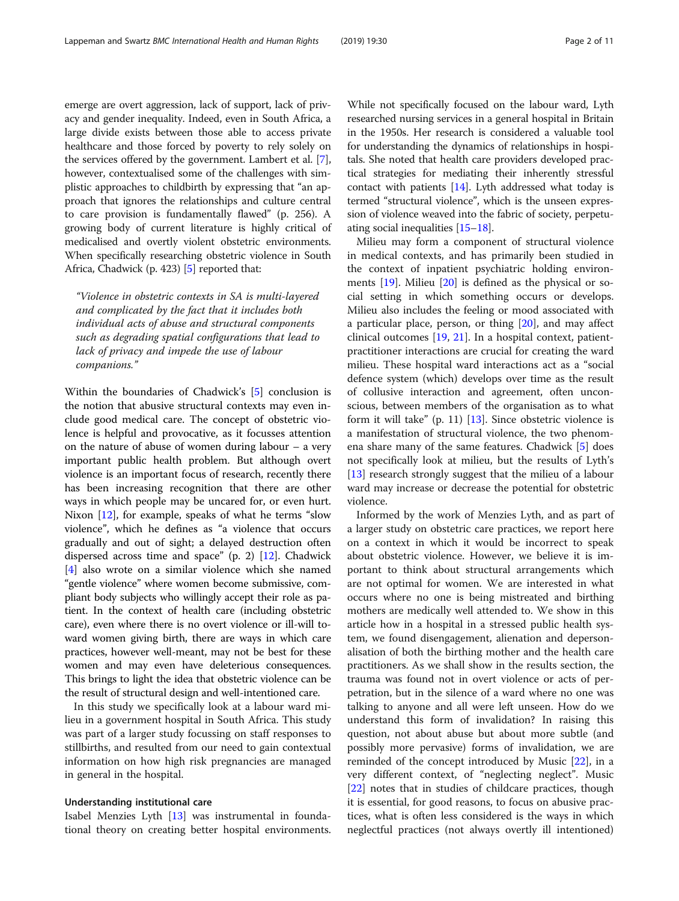emerge are overt aggression, lack of support, lack of privacy and gender inequality. Indeed, even in South Africa, a large divide exists between those able to access private healthcare and those forced by poverty to rely solely on the services offered by the government. Lambert et al. [[7](#page-9-0)], however, contextualised some of the challenges with simplistic approaches to childbirth by expressing that "an approach that ignores the relationships and culture central to care provision is fundamentally flawed" (p. 256). A growing body of current literature is highly critical of medicalised and overtly violent obstetric environments. When specifically researching obstetric violence in South Africa, Chadwick (p. 423) [\[5\]](#page-9-0) reported that:

"Violence in obstetric contexts in SA is multi-layered and complicated by the fact that it includes both individual acts of abuse and structural components such as degrading spatial configurations that lead to lack of privacy and impede the use of labour companions."

Within the boundaries of Chadwick's [\[5\]](#page-9-0) conclusion is the notion that abusive structural contexts may even include good medical care. The concept of obstetric violence is helpful and provocative, as it focusses attention on the nature of abuse of women during labour – a very important public health problem. But although overt violence is an important focus of research, recently there has been increasing recognition that there are other ways in which people may be uncared for, or even hurt. Nixon [[12\]](#page-9-0), for example, speaks of what he terms "slow violence", which he defines as "a violence that occurs gradually and out of sight; a delayed destruction often dispersed across time and space" (p. 2) [[12\]](#page-9-0). Chadwick [[4\]](#page-9-0) also wrote on a similar violence which she named "gentle violence" where women become submissive, compliant body subjects who willingly accept their role as patient. In the context of health care (including obstetric care), even where there is no overt violence or ill-will toward women giving birth, there are ways in which care practices, however well-meant, may not be best for these women and may even have deleterious consequences. This brings to light the idea that obstetric violence can be the result of structural design and well-intentioned care.

In this study we specifically look at a labour ward milieu in a government hospital in South Africa. This study was part of a larger study focussing on staff responses to stillbirths, and resulted from our need to gain contextual information on how high risk pregnancies are managed in general in the hospital.

#### Understanding institutional care

Isabel Menzies Lyth [[13](#page-9-0)] was instrumental in foundational theory on creating better hospital environments.

While not specifically focused on the labour ward, Lyth researched nursing services in a general hospital in Britain in the 1950s. Her research is considered a valuable tool for understanding the dynamics of relationships in hospitals. She noted that health care providers developed practical strategies for mediating their inherently stressful contact with patients [\[14](#page-9-0)]. Lyth addressed what today is termed "structural violence", which is the unseen expression of violence weaved into the fabric of society, perpetuating social inequalities [\[15](#page-10-0)–[18](#page-10-0)].

Milieu may form a component of structural violence in medical contexts, and has primarily been studied in the context of inpatient psychiatric holding environments [[19](#page-10-0)]. Milieu [[20](#page-10-0)] is defined as the physical or social setting in which something occurs or develops. Milieu also includes the feeling or mood associated with a particular place, person, or thing [[20\]](#page-10-0), and may affect clinical outcomes [[19](#page-10-0), [21\]](#page-10-0). In a hospital context, patientpractitioner interactions are crucial for creating the ward milieu. These hospital ward interactions act as a "social defence system (which) develops over time as the result of collusive interaction and agreement, often unconscious, between members of the organisation as to what form it will take" (p. 11) [[13\]](#page-9-0). Since obstetric violence is a manifestation of structural violence, the two phenomena share many of the same features. Chadwick [[5\]](#page-9-0) does not specifically look at milieu, but the results of Lyth's [[13\]](#page-9-0) research strongly suggest that the milieu of a labour ward may increase or decrease the potential for obstetric violence.

Informed by the work of Menzies Lyth, and as part of a larger study on obstetric care practices, we report here on a context in which it would be incorrect to speak about obstetric violence. However, we believe it is important to think about structural arrangements which are not optimal for women. We are interested in what occurs where no one is being mistreated and birthing mothers are medically well attended to. We show in this article how in a hospital in a stressed public health system, we found disengagement, alienation and depersonalisation of both the birthing mother and the health care practitioners. As we shall show in the results section, the trauma was found not in overt violence or acts of perpetration, but in the silence of a ward where no one was talking to anyone and all were left unseen. How do we understand this form of invalidation? In raising this question, not about abuse but about more subtle (and possibly more pervasive) forms of invalidation, we are reminded of the concept introduced by Music [[22\]](#page-10-0), in a very different context, of "neglecting neglect". Music [[22\]](#page-10-0) notes that in studies of childcare practices, though it is essential, for good reasons, to focus on abusive practices, what is often less considered is the ways in which neglectful practices (not always overtly ill intentioned)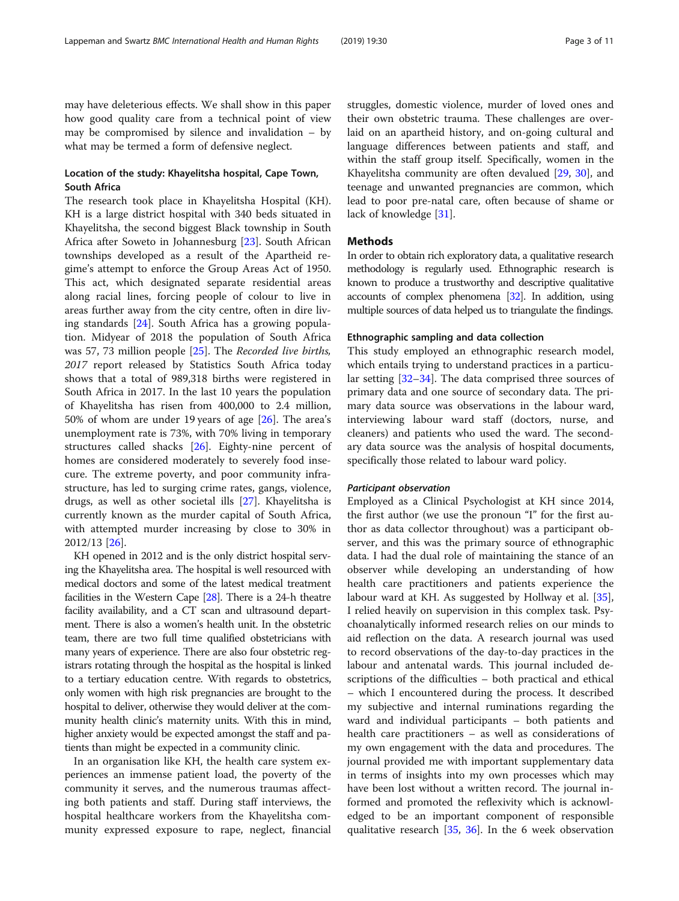may have deleterious effects. We shall show in this paper how good quality care from a technical point of view may be compromised by silence and invalidation – by what may be termed a form of defensive neglect.

# Location of the study: Khayelitsha hospital, Cape Town, South Africa

The research took place in Khayelitsha Hospital (KH). KH is a large district hospital with 340 beds situated in Khayelitsha, the second biggest Black township in South Africa after Soweto in Johannesburg [\[23\]](#page-10-0). South African townships developed as a result of the Apartheid regime's attempt to enforce the Group Areas Act of 1950. This act, which designated separate residential areas along racial lines, forcing people of colour to live in areas further away from the city centre, often in dire living standards [[24\]](#page-10-0). South Africa has a growing population. Midyear of 2018 the population of South Africa was 57, 73 million people [\[25](#page-10-0)]. The Recorded live births, 2017 report released by Statistics South Africa today shows that a total of 989,318 births were registered in South Africa in 2017. In the last 10 years the population of Khayelitsha has risen from 400,000 to 2.4 million, 50% of whom are under 19 years of age [\[26](#page-10-0)]. The area's unemployment rate is 73%, with 70% living in temporary structures called shacks [\[26\]](#page-10-0). Eighty-nine percent of homes are considered moderately to severely food insecure. The extreme poverty, and poor community infrastructure, has led to surging crime rates, gangs, violence, drugs, as well as other societal ills [\[27\]](#page-10-0). Khayelitsha is currently known as the murder capital of South Africa, with attempted murder increasing by close to 30% in 2012/13 [[26\]](#page-10-0).

KH opened in 2012 and is the only district hospital serving the Khayelitsha area. The hospital is well resourced with medical doctors and some of the latest medical treatment facilities in the Western Cape [\[28](#page-10-0)]. There is a 24-h theatre facility availability, and a CT scan and ultrasound department. There is also a women's health unit. In the obstetric team, there are two full time qualified obstetricians with many years of experience. There are also four obstetric registrars rotating through the hospital as the hospital is linked to a tertiary education centre. With regards to obstetrics, only women with high risk pregnancies are brought to the hospital to deliver, otherwise they would deliver at the community health clinic's maternity units. With this in mind, higher anxiety would be expected amongst the staff and patients than might be expected in a community clinic.

In an organisation like KH, the health care system experiences an immense patient load, the poverty of the community it serves, and the numerous traumas affecting both patients and staff. During staff interviews, the hospital healthcare workers from the Khayelitsha community expressed exposure to rape, neglect, financial struggles, domestic violence, murder of loved ones and their own obstetric trauma. These challenges are overlaid on an apartheid history, and on-going cultural and language differences between patients and staff, and within the staff group itself. Specifically, women in the Khayelitsha community are often devalued [\[29,](#page-10-0) [30\]](#page-10-0), and teenage and unwanted pregnancies are common, which lead to poor pre-natal care, often because of shame or lack of knowledge [\[31](#page-10-0)].

# **Methods**

In order to obtain rich exploratory data, a qualitative research methodology is regularly used. Ethnographic research is known to produce a trustworthy and descriptive qualitative accounts of complex phenomena [\[32](#page-10-0)]. In addition, using multiple sources of data helped us to triangulate the findings.

#### Ethnographic sampling and data collection

This study employed an ethnographic research model, which entails trying to understand practices in a particular setting [\[32](#page-10-0)–[34\]](#page-10-0). The data comprised three sources of primary data and one source of secondary data. The primary data source was observations in the labour ward, interviewing labour ward staff (doctors, nurse, and cleaners) and patients who used the ward. The secondary data source was the analysis of hospital documents, specifically those related to labour ward policy.

# Participant observation

Employed as a Clinical Psychologist at KH since 2014, the first author (we use the pronoun "I" for the first author as data collector throughout) was a participant observer, and this was the primary source of ethnographic data. I had the dual role of maintaining the stance of an observer while developing an understanding of how health care practitioners and patients experience the labour ward at KH. As suggested by Hollway et al. [\[35](#page-10-0)], I relied heavily on supervision in this complex task. Psychoanalytically informed research relies on our minds to aid reflection on the data. A research journal was used to record observations of the day-to-day practices in the labour and antenatal wards. This journal included descriptions of the difficulties – both practical and ethical – which I encountered during the process. It described my subjective and internal ruminations regarding the ward and individual participants – both patients and health care practitioners – as well as considerations of my own engagement with the data and procedures. The journal provided me with important supplementary data in terms of insights into my own processes which may have been lost without a written record. The journal informed and promoted the reflexivity which is acknowledged to be an important component of responsible qualitative research [\[35](#page-10-0), [36](#page-10-0)]. In the 6 week observation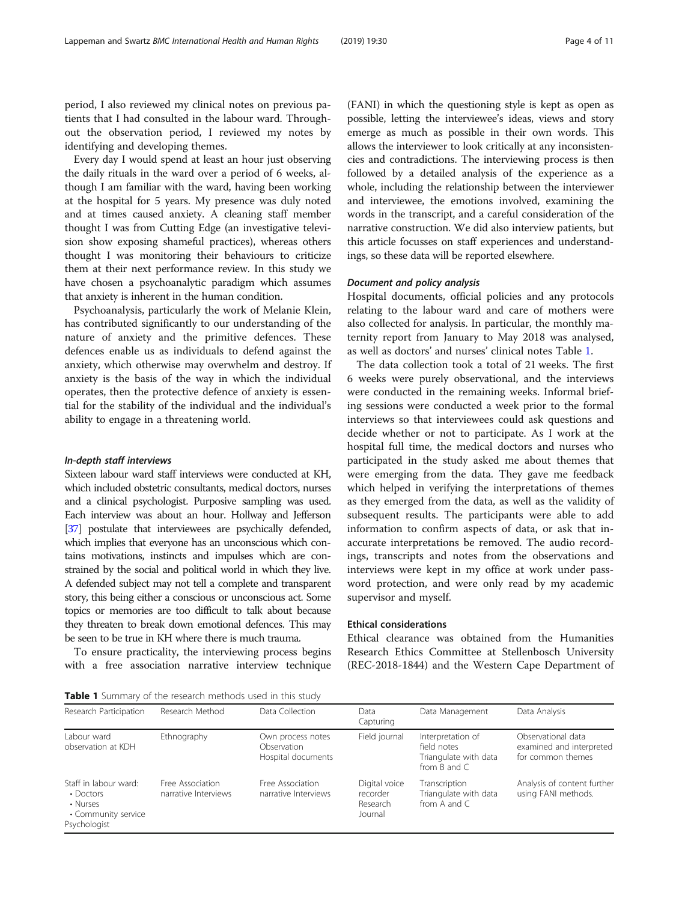period, I also reviewed my clinical notes on previous patients that I had consulted in the labour ward. Throughout the observation period, I reviewed my notes by identifying and developing themes.

Every day I would spend at least an hour just observing the daily rituals in the ward over a period of 6 weeks, although I am familiar with the ward, having been working at the hospital for 5 years. My presence was duly noted and at times caused anxiety. A cleaning staff member thought I was from Cutting Edge (an investigative television show exposing shameful practices), whereas others thought I was monitoring their behaviours to criticize them at their next performance review. In this study we have chosen a psychoanalytic paradigm which assumes that anxiety is inherent in the human condition.

Psychoanalysis, particularly the work of Melanie Klein, has contributed significantly to our understanding of the nature of anxiety and the primitive defences. These defences enable us as individuals to defend against the anxiety, which otherwise may overwhelm and destroy. If anxiety is the basis of the way in which the individual operates, then the protective defence of anxiety is essential for the stability of the individual and the individual's ability to engage in a threatening world.

## In-depth staff interviews

Sixteen labour ward staff interviews were conducted at KH, which included obstetric consultants, medical doctors, nurses and a clinical psychologist. Purposive sampling was used. Each interview was about an hour. Hollway and Jefferson [[37\]](#page-10-0) postulate that interviewees are psychically defended, which implies that everyone has an unconscious which contains motivations, instincts and impulses which are constrained by the social and political world in which they live. A defended subject may not tell a complete and transparent story, this being either a conscious or unconscious act. Some topics or memories are too difficult to talk about because they threaten to break down emotional defences. This may be seen to be true in KH where there is much trauma.

To ensure practicality, the interviewing process begins with a free association narrative interview technique

(FANI) in which the questioning style is kept as open as possible, letting the interviewee's ideas, views and story emerge as much as possible in their own words. This allows the interviewer to look critically at any inconsistencies and contradictions. The interviewing process is then followed by a detailed analysis of the experience as a whole, including the relationship between the interviewer and interviewee, the emotions involved, examining the words in the transcript, and a careful consideration of the narrative construction. We did also interview patients, but this article focusses on staff experiences and understandings, so these data will be reported elsewhere.

## Document and policy analysis

Hospital documents, official policies and any protocols relating to the labour ward and care of mothers were also collected for analysis. In particular, the monthly maternity report from January to May 2018 was analysed, as well as doctors' and nurses' clinical notes Table 1.

The data collection took a total of 21 weeks. The first 6 weeks were purely observational, and the interviews were conducted in the remaining weeks. Informal briefing sessions were conducted a week prior to the formal interviews so that interviewees could ask questions and decide whether or not to participate. As I work at the hospital full time, the medical doctors and nurses who participated in the study asked me about themes that were emerging from the data. They gave me feedback which helped in verifying the interpretations of themes as they emerged from the data, as well as the validity of subsequent results. The participants were able to add information to confirm aspects of data, or ask that inaccurate interpretations be removed. The audio recordings, transcripts and notes from the observations and interviews were kept in my office at work under password protection, and were only read by my academic supervisor and myself.

#### Ethical considerations

Ethical clearance was obtained from the Humanities Research Ethics Committee at Stellenbosch University (REC-2018-1844) and the Western Cape Department of

Table 1 Summary of the research methods used in this study

| Research Participation                                                                      | Research Method                          | Data Collection                                        | Data<br>Capturing                                | Data Management                                                               | Data Analysis                                                       |
|---------------------------------------------------------------------------------------------|------------------------------------------|--------------------------------------------------------|--------------------------------------------------|-------------------------------------------------------------------------------|---------------------------------------------------------------------|
| Labour ward<br>observation at KDH                                                           | Ethnography                              | Own process notes<br>Observation<br>Hospital documents | Field journal                                    | Interpretation of<br>field notes<br>Triangulate with data<br>from $B$ and $C$ | Observational data<br>examined and interpreted<br>for common themes |
| Staff in labour ward:<br>$\cdot$ Doctors<br>• Nurses<br>• Community service<br>Psychologist | Free Association<br>narrative Interviews | Free Association<br>narrative Interviews               | Digital voice<br>recorder<br>Research<br>Journal | Transcription<br>Triangulate with data<br>from A and C                        | Analysis of content further<br>using FANI methods.                  |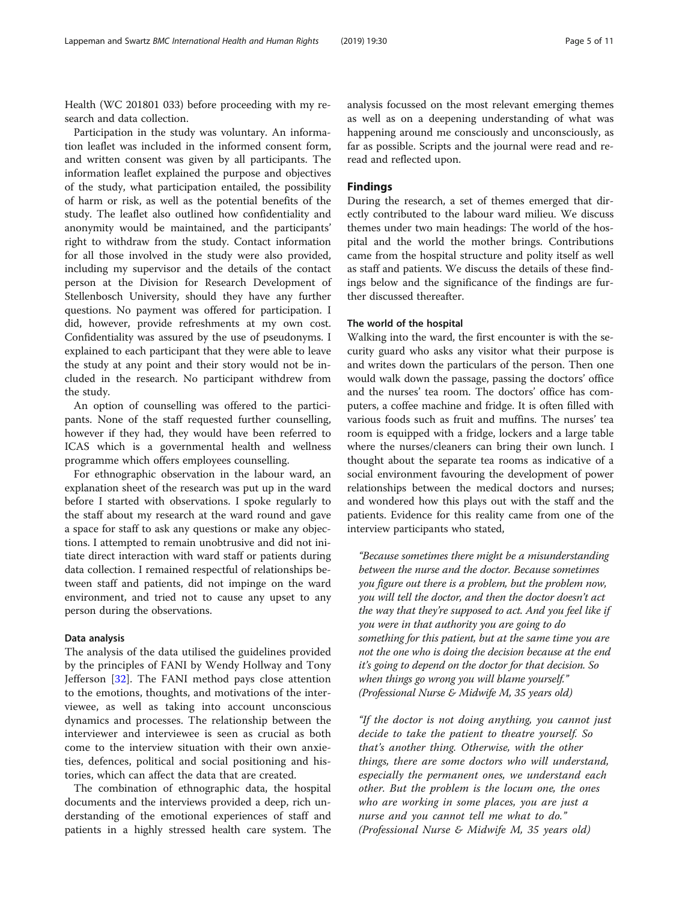Participation in the study was voluntary. An information leaflet was included in the informed consent form, and written consent was given by all participants. The information leaflet explained the purpose and objectives of the study, what participation entailed, the possibility of harm or risk, as well as the potential benefits of the study. The leaflet also outlined how confidentiality and anonymity would be maintained, and the participants' right to withdraw from the study. Contact information for all those involved in the study were also provided, including my supervisor and the details of the contact person at the Division for Research Development of Stellenbosch University, should they have any further questions. No payment was offered for participation. I did, however, provide refreshments at my own cost. Confidentiality was assured by the use of pseudonyms. I explained to each participant that they were able to leave the study at any point and their story would not be included in the research. No participant withdrew from the study.

An option of counselling was offered to the participants. None of the staff requested further counselling, however if they had, they would have been referred to ICAS which is a governmental health and wellness programme which offers employees counselling.

For ethnographic observation in the labour ward, an explanation sheet of the research was put up in the ward before I started with observations. I spoke regularly to the staff about my research at the ward round and gave a space for staff to ask any questions or make any objections. I attempted to remain unobtrusive and did not initiate direct interaction with ward staff or patients during data collection. I remained respectful of relationships between staff and patients, did not impinge on the ward environment, and tried not to cause any upset to any person during the observations.

# Data analysis

The analysis of the data utilised the guidelines provided by the principles of FANI by Wendy Hollway and Tony Jefferson [[32\]](#page-10-0). The FANI method pays close attention to the emotions, thoughts, and motivations of the interviewee, as well as taking into account unconscious dynamics and processes. The relationship between the interviewer and interviewee is seen as crucial as both come to the interview situation with their own anxieties, defences, political and social positioning and histories, which can affect the data that are created.

The combination of ethnographic data, the hospital documents and the interviews provided a deep, rich understanding of the emotional experiences of staff and patients in a highly stressed health care system. The analysis focussed on the most relevant emerging themes as well as on a deepening understanding of what was happening around me consciously and unconsciously, as far as possible. Scripts and the journal were read and reread and reflected upon.

# Findings

During the research, a set of themes emerged that directly contributed to the labour ward milieu. We discuss themes under two main headings: The world of the hospital and the world the mother brings. Contributions came from the hospital structure and polity itself as well as staff and patients. We discuss the details of these findings below and the significance of the findings are further discussed thereafter.

# The world of the hospital

Walking into the ward, the first encounter is with the security guard who asks any visitor what their purpose is and writes down the particulars of the person. Then one would walk down the passage, passing the doctors' office and the nurses' tea room. The doctors' office has computers, a coffee machine and fridge. It is often filled with various foods such as fruit and muffins. The nurses' tea room is equipped with a fridge, lockers and a large table where the nurses/cleaners can bring their own lunch. I thought about the separate tea rooms as indicative of a social environment favouring the development of power relationships between the medical doctors and nurses; and wondered how this plays out with the staff and the patients. Evidence for this reality came from one of the interview participants who stated,

"Because sometimes there might be a misunderstanding between the nurse and the doctor. Because sometimes you figure out there is a problem, but the problem now, you will tell the doctor, and then the doctor doesn't act the way that they're supposed to act. And you feel like if you were in that authority you are going to do something for this patient, but at the same time you are not the one who is doing the decision because at the end it's going to depend on the doctor for that decision. So when things go wrong you will blame yourself." (Professional Nurse & Midwife M, 35 years old)

"If the doctor is not doing anything, you cannot just decide to take the patient to theatre yourself. So that's another thing. Otherwise, with the other things, there are some doctors who will understand, especially the permanent ones, we understand each other. But the problem is the locum one, the ones who are working in some places, you are just a nurse and you cannot tell me what to do." (Professional Nurse & Midwife M, 35 years old)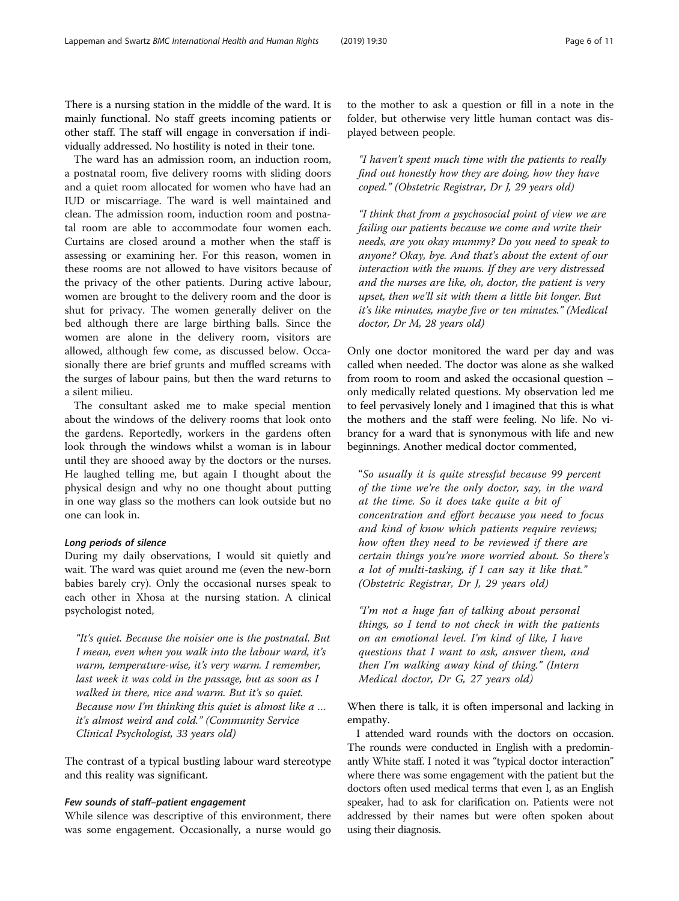There is a nursing station in the middle of the ward. It is mainly functional. No staff greets incoming patients or other staff. The staff will engage in conversation if individually addressed. No hostility is noted in their tone.

The ward has an admission room, an induction room, a postnatal room, five delivery rooms with sliding doors and a quiet room allocated for women who have had an IUD or miscarriage. The ward is well maintained and clean. The admission room, induction room and postnatal room are able to accommodate four women each. Curtains are closed around a mother when the staff is assessing or examining her. For this reason, women in these rooms are not allowed to have visitors because of the privacy of the other patients. During active labour, women are brought to the delivery room and the door is shut for privacy. The women generally deliver on the bed although there are large birthing balls. Since the women are alone in the delivery room, visitors are allowed, although few come, as discussed below. Occasionally there are brief grunts and muffled screams with the surges of labour pains, but then the ward returns to a silent milieu.

The consultant asked me to make special mention about the windows of the delivery rooms that look onto the gardens. Reportedly, workers in the gardens often look through the windows whilst a woman is in labour until they are shooed away by the doctors or the nurses. He laughed telling me, but again I thought about the physical design and why no one thought about putting in one way glass so the mothers can look outside but no one can look in.

# Long periods of silence

During my daily observations, I would sit quietly and wait. The ward was quiet around me (even the new-born babies barely cry). Only the occasional nurses speak to each other in Xhosa at the nursing station. A clinical psychologist noted,

"It's quiet. Because the noisier one is the postnatal. But I mean, even when you walk into the labour ward, it's warm, temperature-wise, it's very warm. I remember, last week it was cold in the passage, but as soon as I walked in there, nice and warm. But it's so quiet. Because now I'm thinking this quiet is almost like a … it's almost weird and cold." (Community Service Clinical Psychologist, 33 years old)

The contrast of a typical bustling labour ward stereotype and this reality was significant.

# Few sounds of staff–patient engagement

While silence was descriptive of this environment, there was some engagement. Occasionally, a nurse would go

to the mother to ask a question or fill in a note in the folder, but otherwise very little human contact was displayed between people.

"I haven't spent much time with the patients to really find out honestly how they are doing, how they have coped." (Obstetric Registrar, Dr J, 29 years old)

"I think that from a psychosocial point of view we are failing our patients because we come and write their needs, are you okay mummy? Do you need to speak to anyone? Okay, bye. And that's about the extent of our interaction with the mums. If they are very distressed and the nurses are like, oh, doctor, the patient is very upset, then we'll sit with them a little bit longer. But it's like minutes, maybe five or ten minutes." (Medical doctor, Dr M, 28 years old)

Only one doctor monitored the ward per day and was called when needed. The doctor was alone as she walked from room to room and asked the occasional question – only medically related questions. My observation led me to feel pervasively lonely and I imagined that this is what the mothers and the staff were feeling. No life. No vibrancy for a ward that is synonymous with life and new beginnings. Another medical doctor commented,

"So usually it is quite stressful because 99 percent of the time we're the only doctor, say, in the ward at the time. So it does take quite a bit of concentration and effort because you need to focus and kind of know which patients require reviews; how often they need to be reviewed if there are certain things you're more worried about. So there's a lot of multi-tasking, if I can say it like that." (Obstetric Registrar, Dr J, 29 years old)

"I'm not a huge fan of talking about personal things, so I tend to not check in with the patients on an emotional level. I'm kind of like, I have questions that I want to ask, answer them, and then I'm walking away kind of thing." (Intern Medical doctor, Dr G, 27 years old)

When there is talk, it is often impersonal and lacking in empathy.

I attended ward rounds with the doctors on occasion. The rounds were conducted in English with a predominantly White staff. I noted it was "typical doctor interaction" where there was some engagement with the patient but the doctors often used medical terms that even I, as an English speaker, had to ask for clarification on. Patients were not addressed by their names but were often spoken about using their diagnosis.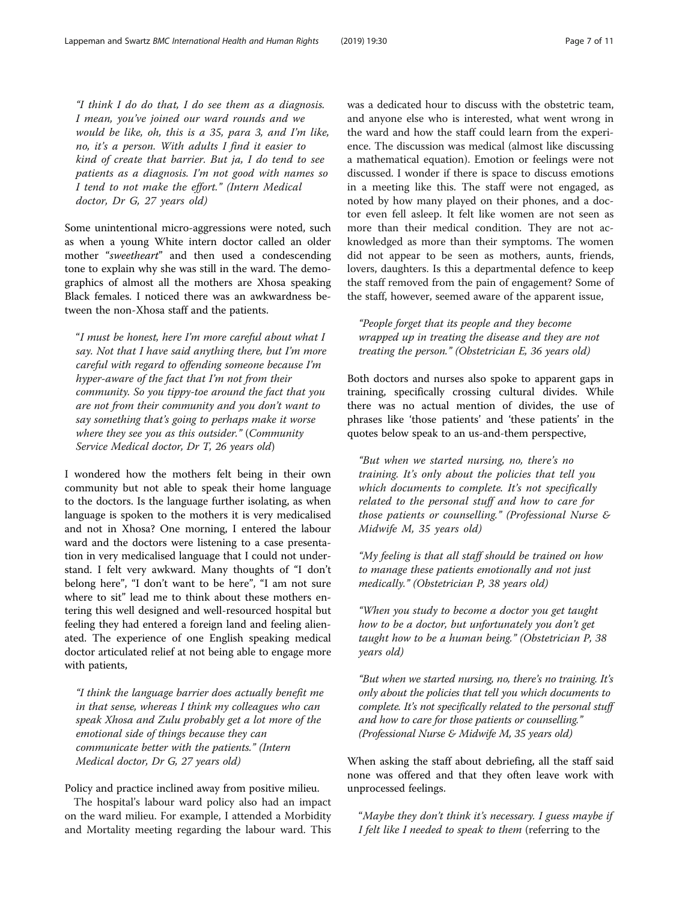"I think I do do that, I do see them as a diagnosis. I mean, you've joined our ward rounds and we would be like, oh, this is a 35, para 3, and I'm like, no, it's a person. With adults I find it easier to kind of create that barrier. But ja, I do tend to see patients as a diagnosis. I'm not good with names so I tend to not make the effort." (Intern Medical doctor, Dr G, 27 years old)

Some unintentional micro-aggressions were noted, such as when a young White intern doctor called an older mother "sweetheart" and then used a condescending tone to explain why she was still in the ward. The demographics of almost all the mothers are Xhosa speaking Black females. I noticed there was an awkwardness between the non-Xhosa staff and the patients.

"I must be honest, here I'm more careful about what I say. Not that I have said anything there, but I'm more careful with regard to offending someone because I'm hyper-aware of the fact that I'm not from their community. So you tippy-toe around the fact that you are not from their community and you don't want to say something that's going to perhaps make it worse where they see you as this outsider." (Community Service Medical doctor, Dr T, 26 years old)

I wondered how the mothers felt being in their own community but not able to speak their home language to the doctors. Is the language further isolating, as when language is spoken to the mothers it is very medicalised and not in Xhosa? One morning, I entered the labour ward and the doctors were listening to a case presentation in very medicalised language that I could not understand. I felt very awkward. Many thoughts of "I don't belong here", "I don't want to be here", "I am not sure where to sit" lead me to think about these mothers entering this well designed and well-resourced hospital but feeling they had entered a foreign land and feeling alienated. The experience of one English speaking medical doctor articulated relief at not being able to engage more with patients,

"I think the language barrier does actually benefit me in that sense, whereas I think my colleagues who can speak Xhosa and Zulu probably get a lot more of the emotional side of things because they can communicate better with the patients." (Intern Medical doctor, Dr G, 27 years old)

Policy and practice inclined away from positive milieu.

The hospital's labour ward policy also had an impact on the ward milieu. For example, I attended a Morbidity and Mortality meeting regarding the labour ward. This was a dedicated hour to discuss with the obstetric team, and anyone else who is interested, what went wrong in the ward and how the staff could learn from the experience. The discussion was medical (almost like discussing a mathematical equation). Emotion or feelings were not discussed. I wonder if there is space to discuss emotions in a meeting like this. The staff were not engaged, as noted by how many played on their phones, and a doctor even fell asleep. It felt like women are not seen as more than their medical condition. They are not acknowledged as more than their symptoms. The women did not appear to be seen as mothers, aunts, friends, lovers, daughters. Is this a departmental defence to keep the staff removed from the pain of engagement? Some of the staff, however, seemed aware of the apparent issue,

"People forget that its people and they become wrapped up in treating the disease and they are not treating the person." (Obstetrician E, 36 years old)

Both doctors and nurses also spoke to apparent gaps in training, specifically crossing cultural divides. While there was no actual mention of divides, the use of phrases like 'those patients' and 'these patients' in the quotes below speak to an us-and-them perspective,

"But when we started nursing, no, there's no training. It's only about the policies that tell you which documents to complete. It's not specifically related to the personal stuff and how to care for those patients or counselling." (Professional Nurse & Midwife M, 35 years old)

"My feeling is that all staff should be trained on how to manage these patients emotionally and not just medically." (Obstetrician P, 38 years old)

"When you study to become a doctor you get taught how to be a doctor, but unfortunately you don't get taught how to be a human being." (Obstetrician P, 38 years old)

"But when we started nursing, no, there's no training. It's only about the policies that tell you which documents to complete. It's not specifically related to the personal stuff and how to care for those patients or counselling." (Professional Nurse & Midwife M, 35 years old)

When asking the staff about debriefing, all the staff said none was offered and that they often leave work with unprocessed feelings.

"Maybe they don't think it's necessary. I guess maybe if I felt like I needed to speak to them (referring to the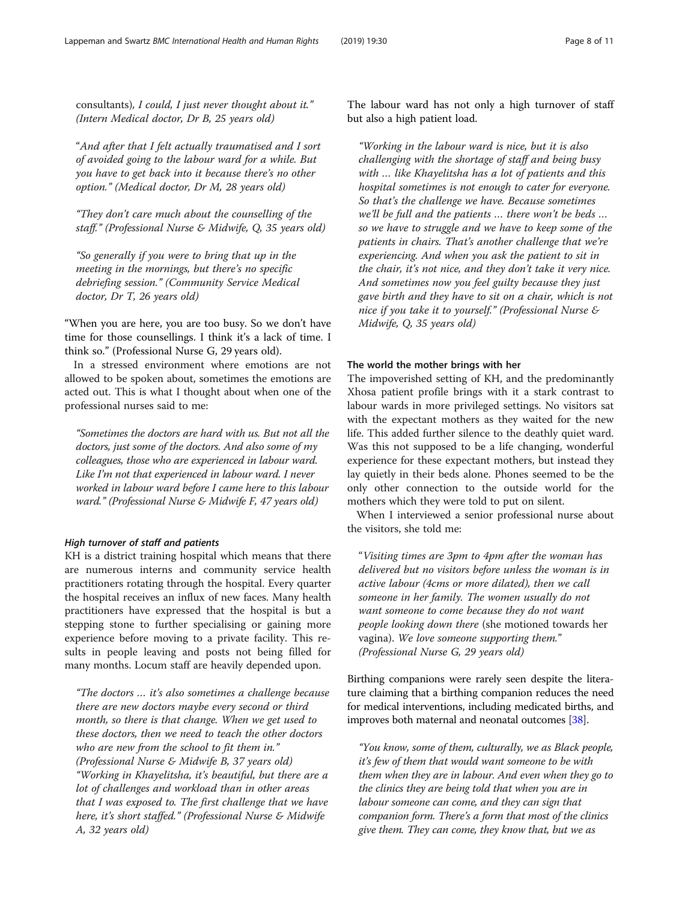consultants), I could, I just never thought about it." (Intern Medical doctor, Dr B, 25 years old)

"And after that I felt actually traumatised and I sort of avoided going to the labour ward for a while. But you have to get back into it because there's no other option." (Medical doctor, Dr M, 28 years old)

"They don't care much about the counselling of the staff." (Professional Nurse & Midwife, Q, 35 years old)

"So generally if you were to bring that up in the meeting in the mornings, but there's no specific debriefing session." (Community Service Medical doctor, Dr T, 26 years old)

"When you are here, you are too busy. So we don't have time for those counsellings. I think it's a lack of time. I think so." (Professional Nurse G, 29 years old).

In a stressed environment where emotions are not allowed to be spoken about, sometimes the emotions are acted out. This is what I thought about when one of the professional nurses said to me:

"Sometimes the doctors are hard with us. But not all the doctors, just some of the doctors. And also some of my colleagues, those who are experienced in labour ward. Like I'm not that experienced in labour ward. I never worked in labour ward before I came here to this labour ward." (Professional Nurse & Midwife F, 47 years old)

#### High turnover of staff and patients

KH is a district training hospital which means that there are numerous interns and community service health practitioners rotating through the hospital. Every quarter the hospital receives an influx of new faces. Many health practitioners have expressed that the hospital is but a stepping stone to further specialising or gaining more experience before moving to a private facility. This results in people leaving and posts not being filled for many months. Locum staff are heavily depended upon.

"The doctors … it's also sometimes a challenge because there are new doctors maybe every second or third month, so there is that change. When we get used to these doctors, then we need to teach the other doctors who are new from the school to fit them in." (Professional Nurse & Midwife B, 37 years old) "Working in Khayelitsha, it's beautiful, but there are a lot of challenges and workload than in other areas that I was exposed to. The first challenge that we have here, it's short staffed." (Professional Nurse & Midwife A, 32 years old)

The labour ward has not only a high turnover of staff but also a high patient load.

"Working in the labour ward is nice, but it is also challenging with the shortage of staff and being busy with … like Khayelitsha has a lot of patients and this hospital sometimes is not enough to cater for everyone. So that's the challenge we have. Because sometimes we'll be full and the patients … there won't be beds … so we have to struggle and we have to keep some of the patients in chairs. That's another challenge that we're experiencing. And when you ask the patient to sit in the chair, it's not nice, and they don't take it very nice. And sometimes now you feel guilty because they just gave birth and they have to sit on a chair, which is not nice if you take it to yourself." (Professional Nurse & Midwife, Q, 35 years old)

## The world the mother brings with her

The impoverished setting of KH, and the predominantly Xhosa patient profile brings with it a stark contrast to labour wards in more privileged settings. No visitors sat with the expectant mothers as they waited for the new life. This added further silence to the deathly quiet ward. Was this not supposed to be a life changing, wonderful experience for these expectant mothers, but instead they lay quietly in their beds alone. Phones seemed to be the only other connection to the outside world for the mothers which they were told to put on silent.

When I interviewed a senior professional nurse about the visitors, she told me:

"Visiting times are 3pm to 4pm after the woman has delivered but no visitors before unless the woman is in active labour (4cms or more dilated), then we call someone in her family. The women usually do not want someone to come because they do not want people looking down there (she motioned towards her vagina). We love someone supporting them." (Professional Nurse G, 29 years old)

Birthing companions were rarely seen despite the literature claiming that a birthing companion reduces the need for medical interventions, including medicated births, and improves both maternal and neonatal outcomes [[38\]](#page-10-0).

"You know, some of them, culturally, we as Black people, it's few of them that would want someone to be with them when they are in labour. And even when they go to the clinics they are being told that when you are in labour someone can come, and they can sign that companion form. There's a form that most of the clinics give them. They can come, they know that, but we as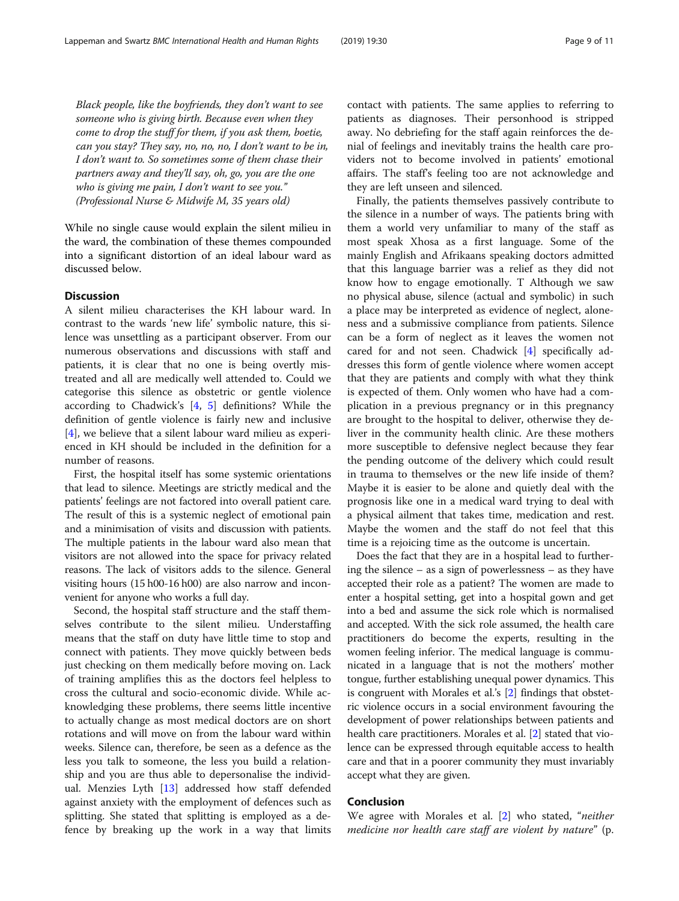Black people, like the boyfriends, they don't want to see someone who is giving birth. Because even when they come to drop the stuff for them, if you ask them, boetie, can you stay? They say, no, no, no, I don't want to be in, I don't want to. So sometimes some of them chase their partners away and they'll say, oh, go, you are the one who is giving me pain, I don't want to see you." (Professional Nurse & Midwife M, 35 years old)

While no single cause would explain the silent milieu in the ward, the combination of these themes compounded into a significant distortion of an ideal labour ward as discussed below.

## **Discussion**

A silent milieu characterises the KH labour ward. In contrast to the wards 'new life' symbolic nature, this silence was unsettling as a participant observer. From our numerous observations and discussions with staff and patients, it is clear that no one is being overtly mistreated and all are medically well attended to. Could we categorise this silence as obstetric or gentle violence according to Chadwick's  $[4, 5]$  $[4, 5]$  $[4, 5]$  $[4, 5]$  $[4, 5]$  definitions? While the definition of gentle violence is fairly new and inclusive [[4\]](#page-9-0), we believe that a silent labour ward milieu as experienced in KH should be included in the definition for a number of reasons.

First, the hospital itself has some systemic orientations that lead to silence. Meetings are strictly medical and the patients' feelings are not factored into overall patient care. The result of this is a systemic neglect of emotional pain and a minimisation of visits and discussion with patients. The multiple patients in the labour ward also mean that visitors are not allowed into the space for privacy related reasons. The lack of visitors adds to the silence. General visiting hours (15 h00-16 h00) are also narrow and inconvenient for anyone who works a full day.

Second, the hospital staff structure and the staff themselves contribute to the silent milieu. Understaffing means that the staff on duty have little time to stop and connect with patients. They move quickly between beds just checking on them medically before moving on. Lack of training amplifies this as the doctors feel helpless to cross the cultural and socio-economic divide. While acknowledging these problems, there seems little incentive to actually change as most medical doctors are on short rotations and will move on from the labour ward within weeks. Silence can, therefore, be seen as a defence as the less you talk to someone, the less you build a relationship and you are thus able to depersonalise the individual. Menzies Lyth  $[13]$  $[13]$  addressed how staff defended against anxiety with the employment of defences such as splitting. She stated that splitting is employed as a defence by breaking up the work in a way that limits contact with patients. The same applies to referring to patients as diagnoses. Their personhood is stripped away. No debriefing for the staff again reinforces the denial of feelings and inevitably trains the health care providers not to become involved in patients' emotional affairs. The staff's feeling too are not acknowledge and they are left unseen and silenced.

Finally, the patients themselves passively contribute to the silence in a number of ways. The patients bring with them a world very unfamiliar to many of the staff as most speak Xhosa as a first language. Some of the mainly English and Afrikaans speaking doctors admitted that this language barrier was a relief as they did not know how to engage emotionally. T Although we saw no physical abuse, silence (actual and symbolic) in such a place may be interpreted as evidence of neglect, aloneness and a submissive compliance from patients. Silence can be a form of neglect as it leaves the women not cared for and not seen. Chadwick [[4\]](#page-9-0) specifically addresses this form of gentle violence where women accept that they are patients and comply with what they think is expected of them. Only women who have had a complication in a previous pregnancy or in this pregnancy are brought to the hospital to deliver, otherwise they deliver in the community health clinic. Are these mothers more susceptible to defensive neglect because they fear the pending outcome of the delivery which could result in trauma to themselves or the new life inside of them? Maybe it is easier to be alone and quietly deal with the prognosis like one in a medical ward trying to deal with a physical ailment that takes time, medication and rest. Maybe the women and the staff do not feel that this time is a rejoicing time as the outcome is uncertain.

Does the fact that they are in a hospital lead to furthering the silence – as a sign of powerlessness – as they have accepted their role as a patient? The women are made to enter a hospital setting, get into a hospital gown and get into a bed and assume the sick role which is normalised and accepted. With the sick role assumed, the health care practitioners do become the experts, resulting in the women feeling inferior. The medical language is communicated in a language that is not the mothers' mother tongue, further establishing unequal power dynamics. This is congruent with Morales et al.'s [[2\]](#page-9-0) findings that obstetric violence occurs in a social environment favouring the development of power relationships between patients and health care practitioners. Morales et al. [\[2](#page-9-0)] stated that violence can be expressed through equitable access to health care and that in a poorer community they must invariably accept what they are given.

# Conclusion

We agree with Morales et al. [[2](#page-9-0)] who stated, "*neither* medicine nor health care staff are violent by nature" (p.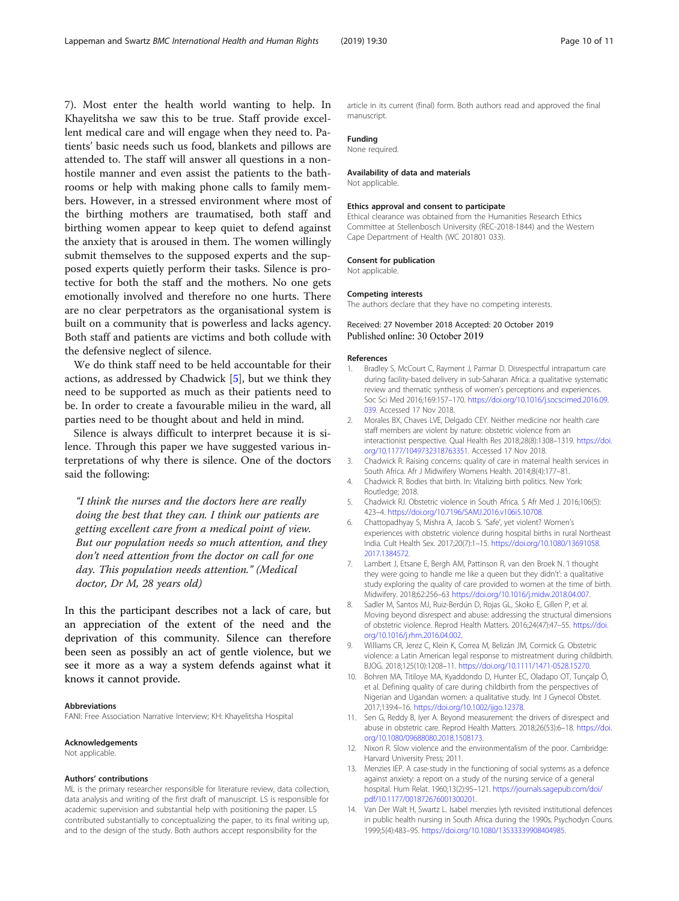<span id="page-9-0"></span>7). Most enter the health world wanting to help. In Khayelitsha we saw this to be true. Staff provide excellent medical care and will engage when they need to. Patients' basic needs such us food, blankets and pillows are attended to. The staff will answer all questions in a nonhostile manner and even assist the patients to the bathrooms or help with making phone calls to family members. However, in a stressed environment where most of the birthing mothers are traumatised, both staff and birthing women appear to keep quiet to defend against the anxiety that is aroused in them. The women willingly submit themselves to the supposed experts and the supposed experts quietly perform their tasks. Silence is protective for both the staff and the mothers. No one gets emotionally involved and therefore no one hurts. There are no clear perpetrators as the organisational system is built on a community that is powerless and lacks agency. Both staff and patients are victims and both collude with the defensive neglect of silence.

We do think staff need to be held accountable for their actions, as addressed by Chadwick [5], but we think they need to be supported as much as their patients need to be. In order to create a favourable milieu in the ward, all parties need to be thought about and held in mind.

Silence is always difficult to interpret because it is silence. Through this paper we have suggested various interpretations of why there is silence. One of the doctors said the following:

"I think the nurses and the doctors here are really doing the best that they can. I think our patients are getting excellent care from a medical point of view. But our population needs so much attention, and they don't need attention from the doctor on call for one day. This population needs attention." (Medical doctor, Dr M, 28 years old)

In this the participant describes not a lack of care, but an appreciation of the extent of the need and the deprivation of this community. Silence can therefore been seen as possibly an act of gentle violence, but we see it more as a way a system defends against what it knows it cannot provide.

#### Abbreviations

FANI: Free Association Narrative Interview; KH: Khayelitsha Hospital

#### Acknowledgements

Not applicable.

#### Authors' contributions

ML is the primary researcher responsible for literature review, data collection, data analysis and writing of the first draft of manuscript. LS is responsible for academic supervision and substantial help with positioning the paper. LS contributed substantially to conceptualizing the paper, to its final writing up, and to the design of the study. Both authors accept responsibility for the

article in its current (final) form. Both authors read and approved the final manuscript.

#### Funding

None required.

#### Availability of data and materials

Not applicable.

#### Ethics approval and consent to participate

Ethical clearance was obtained from the Humanities Research Ethics Committee at Stellenbosch University (REC-2018-1844) and the Western Cape Department of Health (WC 201801 033).

#### Consent for publication

Not applicable.

#### Competing interests

The authors declare that they have no competing interests.

#### Received: 27 November 2018 Accepted: 20 October 2019 Published online: 30 October 2019

#### References

- 1. Bradley S, McCourt C, Rayment J, Parmar D. Disrespectful intrapartum care during facility-based delivery in sub-Saharan Africa: a qualitative systematic review and thematic synthesis of women's perceptions and experiences. Soc Sci Med 2016;169:157–170. [https://doi.org/10.1016/j.socscimed.2016.09.](https://doi.org/10.1016/j.socscimed.2016.09.039) [039.](https://doi.org/10.1016/j.socscimed.2016.09.039) Accessed 17 Nov 2018.
- 2. Morales BX, Chaves LVE, Delgado CEY. Neither medicine nor health care staff members are violent by nature: obstetric violence from an interactionist perspective. Qual Health Res 2018;28(8):1308–1319. [https://doi.](https://doi.org/10.1177/1049732318763351) [org/10.1177/1049732318763351.](https://doi.org/10.1177/1049732318763351) Accessed 17 Nov 2018.
- 3. Chadwick R. Raising concerns: quality of care in maternal health services in South Africa. Afr J Midwifery Womens Health. 2014;8(4):177–81.
- 4. Chadwick R. Bodies that birth. In: Vitalizing birth politics. New York: Routledge; 2018.
- 5. Chadwick RJ. Obstetric violence in South Africa. S Afr Med J. 2016;106(5): 423–4. <https://doi.org/10.7196/SAMJ.2016.v106i5.10708>.
- 6. Chattopadhyay S, Mishra A, Jacob S. 'Safe', yet violent? Women's experiences with obstetric violence during hospital births in rural Northeast India. Cult Health Sex. 2017;20(7):1–15. [https://doi.org/10.1080/13691058.](https://doi.org/10.1080/13691058.2017.1384572) [2017.1384572](https://doi.org/10.1080/13691058.2017.1384572).
- 7. Lambert J, Etsane E, Bergh AM, Pattinson R, van den Broek N. 'I thought they were going to handle me like a queen but they didn't': a qualitative study exploring the quality of care provided to women at the time of birth. Midwifery. 2018;62:256–63 [https://doi.org/10.1016/j.midw.2018.04.007.](https://doi.org/10.1016/j.midw.2018.04.007)
- 8. Sadler M, Santos MJ, Ruiz-Berdún D, Rojas GL, Skoko E, Gillen P, et al. Moving beyond disrespect and abuse: addressing the structural dimensions of obstetric violence. Reprod Health Matters. 2016;24(47):47–55. [https://doi.](https://doi.org/10.1016/j.rhm.2016.04.002) [org/10.1016/j.rhm.2016.04.002.](https://doi.org/10.1016/j.rhm.2016.04.002)
- 9. Williams CR, Jerez C, Klein K, Correa M, Belizán JM, Cormick G. Obstetric violence: a Latin American legal response to mistreatment during childbirth. BJOG. 2018;125(10):1208–11. <https://doi.org/10.1111/1471-0528.15270>.
- 10. Bohren MA, Titiloye MA, Kyaddondo D, Hunter EC, Oladapo OT, Tunçalp Ö, et al. Defining quality of care during childbirth from the perspectives of Nigerian and Ugandan women: a qualitative study. Int J Gynecol Obstet. 2017;139:4–16. <https://doi.org/10.1002/ijgo.12378>.
- 11. Sen G, Reddy B, Iyer A. Beyond measurement: the drivers of disrespect and abuse in obstetric care. Reprod Health Matters. 2018;26(53):6–18. [https://doi.](https://doi.org/10.1080/09688080.2018.1508173) [org/10.1080/09688080.2018.1508173](https://doi.org/10.1080/09688080.2018.1508173).
- 12. Nixon R. Slow violence and the environmentalism of the poor. Cambridge: Harvard University Press; 2011.
- 13. Menzies IEP. A case-study in the functioning of social systems as a defence against anxiety: a report on a study of the nursing service of a general hospital. Hum Relat. 1960;13(2):95–121. [https://journals.sagepub.com/doi/](https://journals.sagepub.com/doi/pdf/10.1177/001872676001300201) [pdf/10.1177/001872676001300201](https://journals.sagepub.com/doi/pdf/10.1177/001872676001300201).
- 14. Van Der Walt H, Swartz L. Isabel menzies lyth revisited institutional defences in public health nursing in South Africa during the 1990s. Psychodyn Couns. 1999;5(4):483–95. <https://doi.org/10.1080/13533339908404985>.